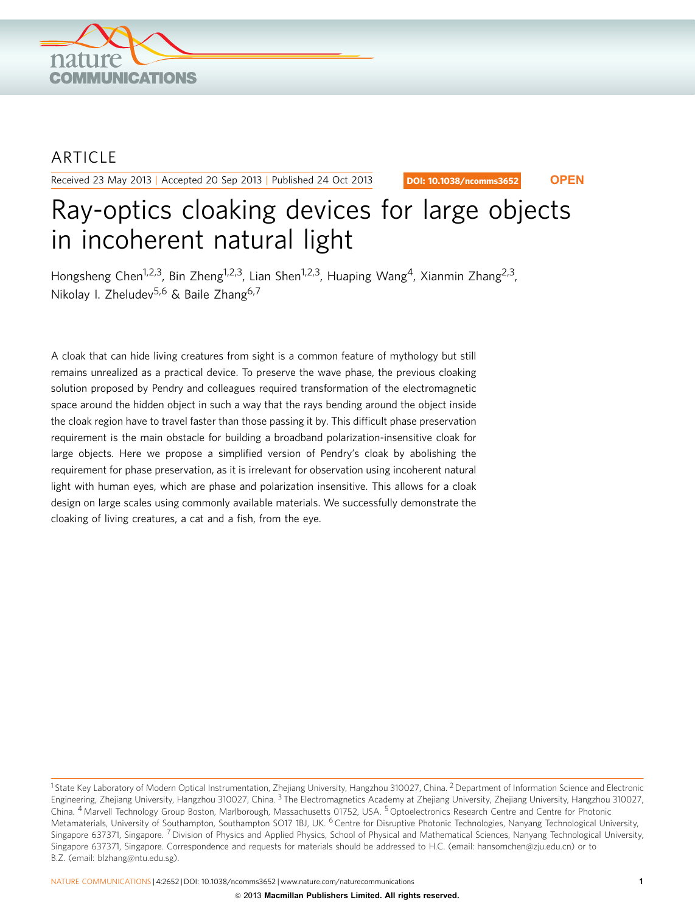

## ARTICLE

Received 23 May 2013 | Accepted 20 Sep 2013 | Published 24 Oct 2013

DOI: 10.1038/ncomms3652 **OPEN**

# Ray-optics cloaking devices for large objects in incoherent natural light

Hongsheng Chen<sup>1,2,3</sup>, Bin Zheng<sup>1,2,3</sup>, Lian Shen<sup>1,2,3</sup>, Huaping Wang<sup>4</sup>, Xianmin Zhang<sup>2,3</sup>, Nikolay I. Zheludev<sup>5,6</sup> & Baile Zhang<sup>6,7</sup>

A cloak that can hide living creatures from sight is a common feature of mythology but still remains unrealized as a practical device. To preserve the wave phase, the previous cloaking solution proposed by Pendry and colleagues required transformation of the electromagnetic space around the hidden object in such a way that the rays bending around the object inside the cloak region have to travel faster than those passing it by. This difficult phase preservation requirement is the main obstacle for building a broadband polarization-insensitive cloak for large objects. Here we propose a simplified version of Pendry's cloak by abolishing the requirement for phase preservation, as it is irrelevant for observation using incoherent natural light with human eyes, which are phase and polarization insensitive. This allows for a cloak design on large scales using commonly available materials. We successfully demonstrate the cloaking of living creatures, a cat and a fish, from the eye.

NATURE COMMUNICATIONS | 4:2652 | DOI: 10.1038/ncomms3652 | [www.nature.com/naturecommunications](http://www.nature.com/naturecommunications) 1

<sup>&</sup>lt;sup>1</sup> State Key Laboratory of Modern Optical Instrumentation, Zhejiang University, Hangzhou 310027, China. <sup>2</sup> Department of Information Science and Electronic Engineering, Zhejiang University, Hangzhou 310027, China. <sup>3</sup> The Electromagnetics Academy at Zhejiang University, Zhejiang University, Hangzhou 310027, China. <sup>4</sup> Marvell Technology Group Boston, Marlborough, Massachusetts 01752, USA. <sup>5</sup> Optoelectronics Research Centre and Centre for Photonic Metamaterials, University of Southampton, Southampton SO17 1BJ, UK. <sup>6</sup> Centre for Disruptive Photonic Technologies, Nanyang Technological University, Singapore 637371, Singapore. <sup>7</sup> Division of Physics and Applied Physics, School of Physical and Mathematical Sciences, Nanyang Technological University, Singapore 637371, Singapore. Correspondence and requests for materials should be addressed to H.C. (email: [hansomchen@zju.edu.cn\)](mailto:hansomchen@zju.edu.cn) or to B.Z. (email: [blzhang@ntu.edu.sg\)](mailto:blzhang@ntu.edu.sg).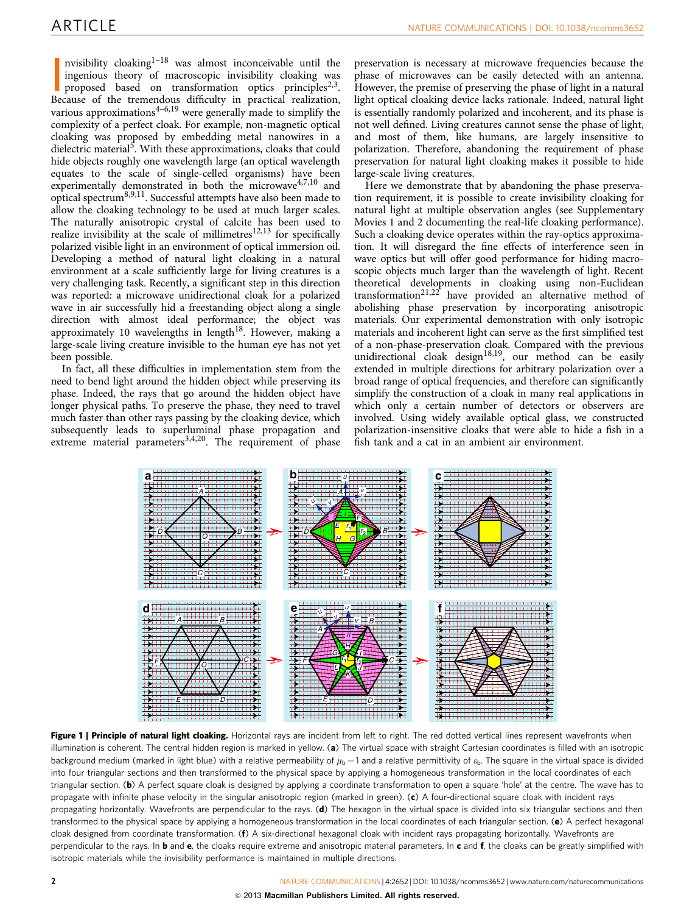<span id="page-1-0"></span>nvisibility cloaking<sup>1-18</sup> was almost inconceivable until the ingenious theory of macroscopic invisibility cloaking was proposed based on transformation optics principles<sup>2,3</sup>.<br>Because of the tremendous difficulty in pract nvisibility cloaking $1-18$  was almost inconceivable until the ingenious theory of macroscopic invisibility cloaking was proposed based on transformation optics principles<sup>2,3</sup>. various approximations $4-6,19$  were generally made to simplify the complexity of a perfect cloak. For example, non-magnetic optical cloaking was proposed by embedding metal nanowires in a dielectric material<sup>[5](#page-5-0)</sup>. With these approximations, cloaks that could hide objects roughly one wavelength large (an optical wavelength equates to the scale of single-celled organisms) have been experimentally demonstrated in both the microwave $4,7,10$  and optical spectrum<sup>[8,9,11](#page-5-0)</sup>. Successful attempts have also been made to allow the cloaking technology to be used at much larger scales. The naturally anisotropic crystal of calcite has been used to realize invisibility at the scale of millimetres $12,13$  for specifically polarized visible light in an environment of optical immersion oil. Developing a method of natural light cloaking in a natural environment at a scale sufficiently large for living creatures is a very challenging task. Recently, a significant step in this direction was reported: a microwave unidirectional cloak for a polarized wave in air successfully hid a freestanding object along a single direction with almost ideal performance; the object was approximately 10 wavelengths in length<sup>18</sup>. However, making a large-scale living creature invisible to the human eye has not yet been possible.

In fact, all these difficulties in implementation stem from the need to bend light around the hidden object while preserving its phase. Indeed, the rays that go around the hidden object have longer physical paths. To preserve the phase, they need to travel much faster than other rays passing by the cloaking device, which subsequently leads to superluminal phase propagation and extreme material parameters<sup>[3,4,20](#page-5-0)</sup>. The requirement of phase

preservation is necessary at microwave frequencies because the phase of microwaves can be easily detected with an antenna. However, the premise of preserving the phase of light in a natural light optical cloaking device lacks rationale. Indeed, natural light is essentially randomly polarized and incoherent, and its phase is not well defined. Living creatures cannot sense the phase of light, and most of them, like humans, are largely insensitive to polarization. Therefore, abandoning the requirement of phase preservation for natural light cloaking makes it possible to hide large-scale living creatures.

Here we demonstrate that by abandoning the phase preservation requirement, it is possible to create invisibility cloaking for natural light at multiple observation angles (see Supplementary Movies 1 and 2 documenting the real-life cloaking performance). Such a cloaking device operates within the ray-optics approximation. It will disregard the fine effects of interference seen in wave optics but will offer good performance for hiding macroscopic objects much larger than the wavelength of light. Recent theoretical developments in cloaking using non-Euclidean transformation<sup>[21,22](#page-5-0)</sup> have provided an alternative method of abolishing phase preservation by incorporating anisotropic materials. Our experimental demonstration with only isotropic materials and incoherent light can serve as the first simplified test of a non-phase-preservation cloak. Compared with the previous unidirectional cloak design $18,19$ , our method can be easily extended in multiple directions for arbitrary polarization over a broad range of optical frequencies, and therefore can significantly simplify the construction of a cloak in many real applications in which only a certain number of detectors or observers are involved. Using widely available optical glass, we constructed polarization-insensitive cloaks that were able to hide a fish in a fish tank and a cat in an ambient air environment.



Figure 1 | Principle of natural light cloaking. Horizontal rays are incident from left to right. The red dotted vertical lines represent wavefronts when illumination is coherent. The central hidden region is marked in yellow. (a) The virtual space with straight Cartesian coordinates is filled with an isotropic background medium (marked in light blue) with a relative permeability of  $\mu_b = 1$  and a relative permittivity of  $\epsilon_b$ . The square in the virtual space is divided into four triangular sections and then transformed to the physical space by applying a homogeneous transformation in the local coordinates of each triangular section. (b) A perfect square cloak is designed by applying a coordinate transformation to open a square 'hole' at the centre. The wave has to propagate with infinite phase velocity in the singular anisotropic region (marked in green). (c) A four-directional square cloak with incident rays propagating horizontally. Wavefronts are perpendicular to the rays. (d) The hexagon in the virtual space is divided into six triangular sections and then transformed to the physical space by applying a homogeneous transformation in the local coordinates of each triangular section. (e) A perfect hexagonal cloak designed from coordinate transformation. (f) A six-directional hexagonal cloak with incident rays propagating horizontally. Wavefronts are perpendicular to the rays. In **b** and  $e$ , the cloaks require extreme and anisotropic material parameters. In c and  $f$ , the cloaks can be greatly simplified with isotropic materials while the invisibility performance is maintained in multiple directions.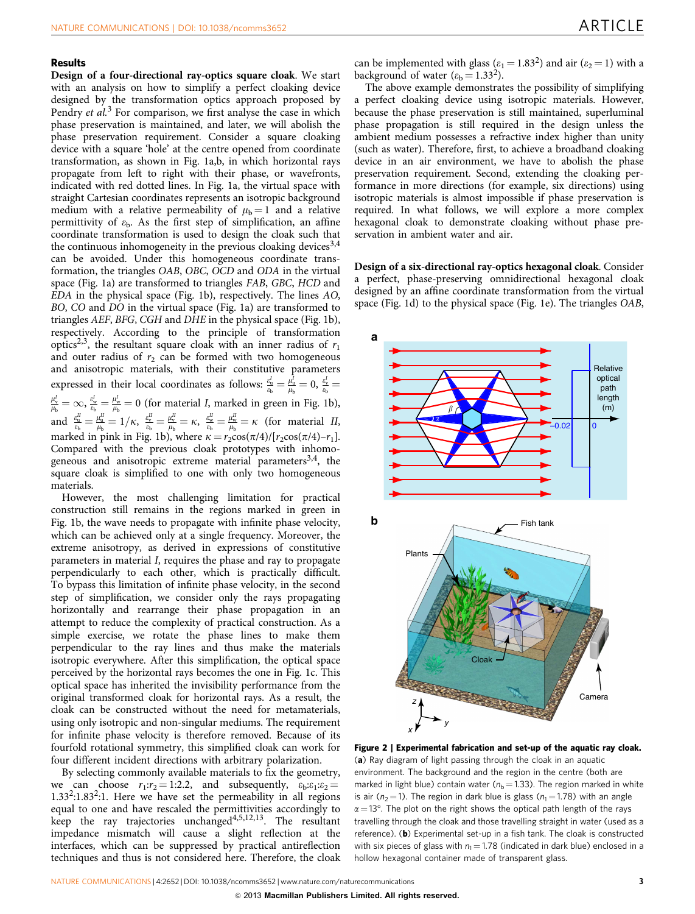### <span id="page-2-0"></span>Results

Design of a four-directional ray-optics square cloak. We start with an analysis on how to simplify a perfect cloaking device designed by the transformation optics approach proposed by Pendry *et al.*<sup>[3](#page-5-0)</sup> For comparison, we first analyse the case in which phase preservation is maintained, and later, we will abolish the phase preservation requirement. Consider a square cloaking device with a square 'hole' at the centre opened from coordinate transformation, as shown in [Fig. 1a,b](#page-1-0), in which horizontal rays propagate from left to right with their phase, or wavefronts, indicated with red dotted lines. In [Fig. 1a,](#page-1-0) the virtual space with straight Cartesian coordinates represents an isotropic background medium with a relative permeability of  $\mu_b = 1$  and a relative permittivity of  $\varepsilon_{b}$ . As the first step of simplification, an affine coordinate transformation is used to design the cloak such that the continuous inhomogeneity in the previous cloaking devices  $3,4$ can be avoided. Under this homogeneous coordinate transformation, the triangles OAB, OBC, OCD and ODA in the virtual space [\(Fig. 1a](#page-1-0)) are transformed to triangles FAB, GBC, HCD and EDA in the physical space ([Fig. 1b](#page-1-0)), respectively. The lines AO, BO, CO and DO in the virtual space ([Fig. 1a\)](#page-1-0) are transformed to triangles AEF, BFG, CGH and DHE in the physical space [\(Fig. 1b](#page-1-0)), respectively. According to the principle of transformation optics<sup>2,3</sup>, the resultant square cloak with an inner radius of  $r_1$ and outer radius of  $r_2$  can be formed with two homogeneous and anisotropic materials, with their constitutive parameters expressed in their local coordinates as follows:  $\frac{e_u'}{e_b} = \frac{\mu_u'}{\mu_b} = 0$ ,  $\frac{e_v'}{e_b} = \frac{\mu_v'}{\mu_b} = \infty$ ,  $\frac{e_u'}{e_b} = \frac{\mu_w'}{\mu_b} = 0$  (for material *I*, marked in green in [Fig. 1b](#page-1-0)), and  $\frac{e_u^u}{e_b} = \frac{\mu_u^u}{\mu_b} = 1/\kappa$ ,  $\frac{e_v^u}{e_b} = \frac{\mu_v^u}{\mu_b} = \kappa$ ,  $\frac{e_u^u}{e_b} = \frac{\mu_u^u}{\mu_b} = \kappa$  (for material *II*, marked in pink in [Fig. 1b](#page-1-0)), where  $\kappa = r_2 \cos(\pi/4)/[r_2 \cos(\pi/4)-r_1]$ . Compared with the previous cloak prototypes with inhomogeneous and anisotropic extreme material parameters<sup>3,4</sup>, the square cloak is simplified to one with only two homogeneous materials.

However, the most challenging limitation for practical construction still remains in the regions marked in green in [Fig. 1b,](#page-1-0) the wave needs to propagate with infinite phase velocity, which can be achieved only at a single frequency. Moreover, the extreme anisotropy, as derived in expressions of constitutive parameters in material I, requires the phase and ray to propagate perpendicularly to each other, which is practically difficult. To bypass this limitation of infinite phase velocity, in the second step of simplification, we consider only the rays propagating horizontally and rearrange their phase propagation in an attempt to reduce the complexity of practical construction. As a simple exercise, we rotate the phase lines to make them perpendicular to the ray lines and thus make the materials isotropic everywhere. After this simplification, the optical space perceived by the horizontal rays becomes the one in [Fig. 1c](#page-1-0). This optical space has inherited the invisibility performance from the original transformed cloak for horizontal rays. As a result, the cloak can be constructed without the need for metamaterials, using only isotropic and non-singular mediums. The requirement for infinite phase velocity is therefore removed. Because of its fourfold rotational symmetry, this simplified cloak can work for four different incident directions with arbitrary polarization.

By selecting commonly available materials to fix the geometry, we can choose  $r_1:r_2=1:2.2$ , and subsequently,  $\varepsilon_b:\varepsilon_1:\varepsilon_2 =$  $1.33<sup>2</sup>:1.83<sup>2</sup>:1$ . Here we have set the permeability in all regions equal to one and have rescaled the permittivities accordingly to keep the ray trajectories unchanged<sup>4,5,12,13</sup>. The resultant impedance mismatch will cause a slight reflection at the interfaces, which can be suppressed by practical antireflection techniques and thus is not considered here. Therefore, the cloak

can be implemented with glass ( $\varepsilon_1$  = 1.83<sup>2</sup>) and air ( $\varepsilon_2$  = 1) with a background of water  $(\varepsilon_b = 1.33^2)$ .

The above example demonstrates the possibility of simplifying a perfect cloaking device using isotropic materials. However, because the phase preservation is still maintained, superluminal phase propagation is still required in the design unless the ambient medium possesses a refractive index higher than unity (such as water). Therefore, first, to achieve a broadband cloaking device in an air environment, we have to abolish the phase preservation requirement. Second, extending the cloaking performance in more directions (for example, six directions) using isotropic materials is almost impossible if phase preservation is required. In what follows, we will explore a more complex hexagonal cloak to demonstrate cloaking without phase preservation in ambient water and air.

Design of a six-directional ray-optics hexagonal cloak. Consider a perfect, phase-preserving omnidirectional hexagonal cloak designed by an affine coordinate transformation from the virtual space ([Fig. 1d\)](#page-1-0) to the physical space [\(Fig. 1e](#page-1-0)). The triangles OAB,



Figure 2 | Experimental fabrication and set-up of the aquatic ray cloak. (a) Ray diagram of light passing through the cloak in an aquatic environment. The background and the region in the centre (both are marked in light blue) contain water ( $n<sub>b</sub> = 1.33$ ). The region marked in white is air ( $n_2$  = 1). The region in dark blue is glass ( $n_1$  = 1.78) with an angle  $\alpha$  = 13°. The plot on the right shows the optical path length of the rays travelling through the cloak and those travelling straight in water (used as a reference). (b) Experimental set-up in a fish tank. The cloak is constructed with six pieces of glass with  $n_1 = 1.78$  (indicated in dark blue) enclosed in a hollow hexagonal container made of transparent glass.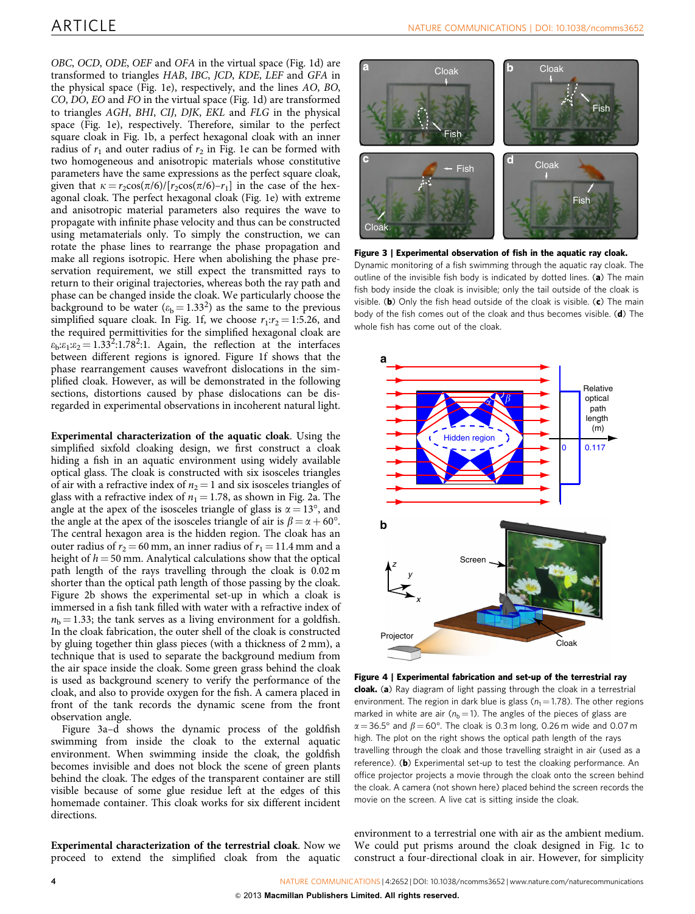<span id="page-3-0"></span>OBC, OCD, ODE, OEF and OFA in the virtual space [\(Fig. 1d](#page-1-0)) are transformed to triangles HAB, IBC, JCD, KDE, LEF and GFA in the physical space ([Fig. 1e](#page-1-0)), respectively, and the lines AO, BO, CO, DO, EO and FO in the virtual space ([Fig. 1d\)](#page-1-0) are transformed to triangles AGH, BHI, CIJ, DJK, EKL and FLG in the physical space [\(Fig. 1e\)](#page-1-0), respectively. Therefore, similar to the perfect square cloak in [Fig. 1b](#page-1-0), a perfect hexagonal cloak with an inner radius of  $r_1$  and outer radius of  $r_2$  in [Fig. 1e](#page-1-0) can be formed with two homogeneous and anisotropic materials whose constitutive parameters have the same expressions as the perfect square cloak, given that  $\kappa = r_2\cos(\pi/6)/[r_2\cos(\pi/6)-r_1]$  in the case of the hexagonal cloak. The perfect hexagonal cloak [\(Fig. 1e](#page-1-0)) with extreme and anisotropic material parameters also requires the wave to propagate with infinite phase velocity and thus can be constructed using metamaterials only. To simply the construction, we can rotate the phase lines to rearrange the phase propagation and make all regions isotropic. Here when abolishing the phase preservation requirement, we still expect the transmitted rays to return to their original trajectories, whereas both the ray path and phase can be changed inside the cloak. We particularly choose the background to be water ( $\varepsilon_b$  = 1.33<sup>2</sup>) as the same to the previous simplified square cloak. In [Fig. 1f,](#page-1-0) we choose  $r_1:r_2 = 1:5.26$ , and the required permittivities for the simplified hexagonal cloak are  $\varepsilon_b:\varepsilon_1:\varepsilon_2 = 1.33^2:1.78^2:1.$  Again, the reflection at the interfaces between different regions is ignored. [Figure 1f](#page-1-0) shows that the phase rearrangement causes wavefront dislocations in the simplified cloak. However, as will be demonstrated in the following sections, distortions caused by phase dislocations can be disregarded in experimental observations in incoherent natural light.

Experimental characterization of the aquatic cloak. Using the simplified sixfold cloaking design, we first construct a cloak hiding a fish in an aquatic environment using widely available optical glass. The cloak is constructed with six isosceles triangles of air with a refractive index of  $n_2 = 1$  and six isosceles triangles of glass with a refractive index of  $n_1 = 1.78$ , as shown in [Fig. 2a](#page-2-0). The angle at the apex of the isosceles triangle of glass is  $\alpha = 13^{\circ}$ , and the angle at the apex of the isosceles triangle of air is  $\beta\!=\!\alpha\!+\!60^{\circ}$ . The central hexagon area is the hidden region. The cloak has an outer radius of  $r_2 = 60$  mm, an inner radius of  $r_1 = 11.4$  mm and a height of  $h = 50$  mm. Analytical calculations show that the optical path length of the rays travelling through the cloak is 0.02 m shorter than the optical path length of those passing by the cloak. [Figure 2b](#page-2-0) shows the experimental set-up in which a cloak is immersed in a fish tank filled with water with a refractive index of  $n<sub>b</sub> = 1.33$ ; the tank serves as a living environment for a goldfish. In the cloak fabrication, the outer shell of the cloak is constructed by gluing together thin glass pieces (with a thickness of 2 mm), a technique that is used to separate the background medium from the air space inside the cloak. Some green grass behind the cloak is used as background scenery to verify the performance of the cloak, and also to provide oxygen for the fish. A camera placed in front of the tank records the dynamic scene from the front observation angle.

Figure 3a–d shows the dynamic process of the goldfish swimming from inside the cloak to the external aquatic environment. When swimming inside the cloak, the goldfish becomes invisible and does not block the scene of green plants behind the cloak. The edges of the transparent container are still visible because of some glue residue left at the edges of this homemade container. This cloak works for six different incident directions.

Experimental characterization of the terrestrial cloak. Now we proceed to extend the simplified cloak from the aquatic



Figure 3 | Experimental observation of fish in the aquatic ray cloak. Dynamic monitoring of a fish swimming through the aquatic ray cloak. The outline of the invisible fish body is indicated by dotted lines. (a) The main fish body inside the cloak is invisible; only the tail outside of the cloak is visible. (b) Only the fish head outside of the cloak is visible. (c) The main body of the fish comes out of the cloak and thus becomes visible. (d) The whole fish has come out of the cloak.



Figure 4 | Experimental fabrication and set-up of the terrestrial ray cloak. (a) Ray diagram of light passing through the cloak in a terrestrial environment. The region in dark blue is glass ( $n_1$  = 1.78). The other regions marked in white are air ( $n<sub>b</sub> = 1$ ). The angles of the pieces of glass are  $\alpha$  = 36.5° and  $\beta$  = 60°. The cloak is 0.3 m long, 0.26 m wide and 0.07 m high. The plot on the right shows the optical path length of the rays travelling through the cloak and those travelling straight in air (used as a reference). (b) Experimental set-up to test the cloaking performance. An office projector projects a movie through the cloak onto the screen behind the cloak. A camera (not shown here) placed behind the screen records the movie on the screen. A live cat is sitting inside the cloak.

environment to a terrestrial one with air as the ambient medium. We could put prisms around the cloak designed in [Fig. 1c](#page-1-0) to construct a four-directional cloak in air. However, for simplicity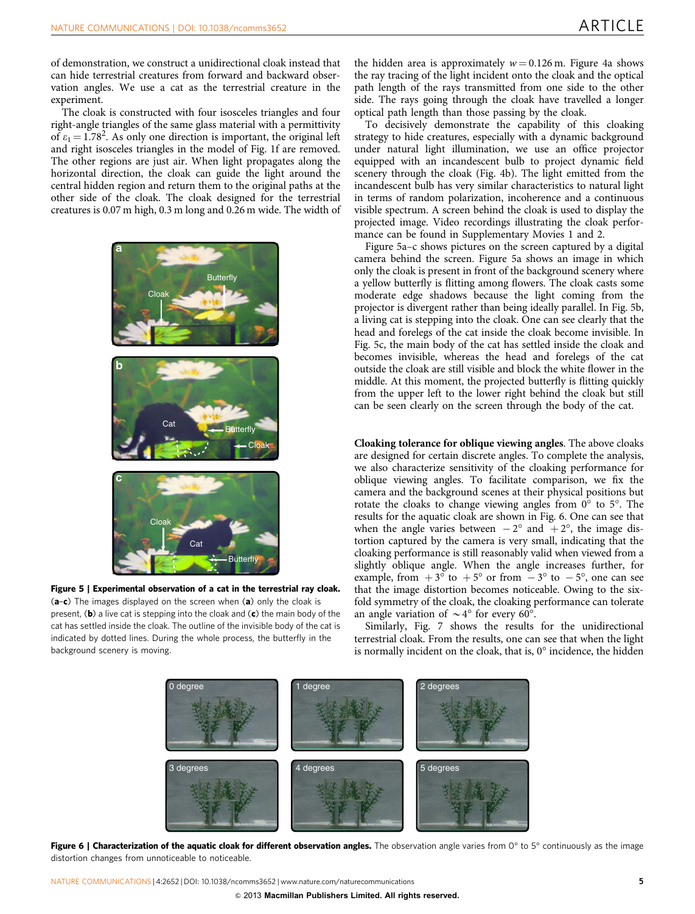of demonstration, we construct a unidirectional cloak instead that can hide terrestrial creatures from forward and backward observation angles. We use a cat as the terrestrial creature in the experiment.

The cloak is constructed with four isosceles triangles and four right-angle triangles of the same glass material with a permittivity of  $\varepsilon_1 = 1.78^2$ . As only one direction is important, the original left and right isosceles triangles in the model of [Fig. 1f](#page-1-0) are removed. The other regions are just air. When light propagates along the horizontal direction, the cloak can guide the light around the central hidden region and return them to the original paths at the other side of the cloak. The cloak designed for the terrestrial creatures is 0.07 m high, 0.3 m long and 0.26 m wide. The width of



Figure 5 | Experimental observation of a cat in the terrestrial ray cloak.  $(a-c)$  The images displayed on the screen when  $(a)$  only the cloak is present,  $(b)$  a live cat is stepping into the cloak and  $(c)$  the main body of the cat has settled inside the cloak. The outline of the invisible body of the cat is indicated by dotted lines. During the whole process, the butterfly in the background scenery is moving.

the hidden area is approximately  $w = 0.126$  m. [Figure 4a](#page-3-0) shows the ray tracing of the light incident onto the cloak and the optical path length of the rays transmitted from one side to the other side. The rays going through the cloak have travelled a longer optical path length than those passing by the cloak.

To decisively demonstrate the capability of this cloaking strategy to hide creatures, especially with a dynamic background under natural light illumination, we use an office projector equipped with an incandescent bulb to project dynamic field scenery through the cloak [\(Fig. 4b\)](#page-3-0). The light emitted from the incandescent bulb has very similar characteristics to natural light in terms of random polarization, incoherence and a continuous visible spectrum. A screen behind the cloak is used to display the projected image. Video recordings illustrating the cloak performance can be found in Supplementary Movies 1 and 2.

Figure 5a–c shows pictures on the screen captured by a digital camera behind the screen. Figure 5a shows an image in which only the cloak is present in front of the background scenery where a yellow butterfly is flitting among flowers. The cloak casts some moderate edge shadows because the light coming from the projector is divergent rather than being ideally parallel. In Fig. 5b, a living cat is stepping into the cloak. One can see clearly that the head and forelegs of the cat inside the cloak become invisible. In Fig. 5c, the main body of the cat has settled inside the cloak and becomes invisible, whereas the head and forelegs of the cat outside the cloak are still visible and block the white flower in the middle. At this moment, the projected butterfly is flitting quickly from the upper left to the lower right behind the cloak but still can be seen clearly on the screen through the body of the cat.

Cloaking tolerance for oblique viewing angles. The above cloaks are designed for certain discrete angles. To complete the analysis, we also characterize sensitivity of the cloaking performance for oblique viewing angles. To facilitate comparison, we fix the camera and the background scenes at their physical positions but rotate the cloaks to change viewing angles from  $0^{\circ}$  to  $5^{\circ}$ . The results for the aquatic cloak are shown in Fig. 6. One can see that when the angle varies between  $-2^{\circ}$  and  $+2^{\circ}$ , the image distortion captured by the camera is very small, indicating that the cloaking performance is still reasonably valid when viewed from a slightly oblique angle. When the angle increases further, for example, from  $+3^{\circ}$  to  $+5^{\circ}$  or from  $-3^{\circ}$  to  $-5^{\circ}$ , one can see that the image distortion becomes noticeable. Owing to the sixfold symmetry of the cloak, the cloaking performance can tolerate an angle variation of  $\sim 4^{\circ}$  for every 60°.

Similarly, [Fig. 7](#page-5-0) shows the results for the unidirectional terrestrial cloak. From the results, one can see that when the light is normally incident on the cloak, that is,  $0^{\circ}$  incidence, the hidden



Figure 6 | Characterization of the aquatic cloak for different observation angles. The observation angle varies from 0° to 5° continuously as the image distortion changes from unnoticeable to noticeable.

NATURE COMMUNICATIONS | 4:2652 | DOI: 10.1038/ncomms3652 | [www.nature.com/naturecommunications](http://www.nature.com/naturecommunications) 5